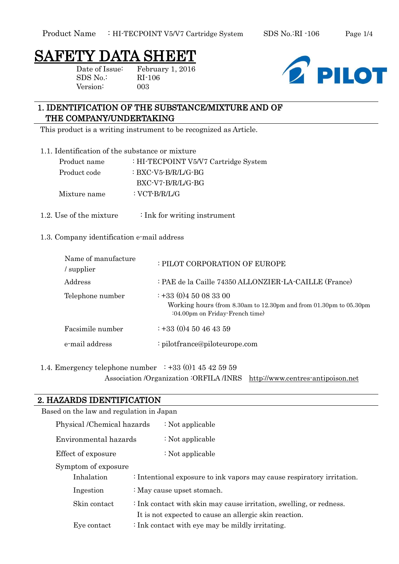# SAFETY DATA SHEET

SDS No.: RI-106 Version: 003

Date of Issue: February 1, 2016



# 1. IDENTIFICATION OF THE SUBSTANCE/MIXTURE AND OF THE COMPANY/UNDERTAKING

This product is a writing instrument to be recognized as Article.

1.1. Identification of the substance or mixture

- Product name : HI-TECPOINT V5/V7 Cartridge System Product code : BXC-V5-B/R/L/G-BG BXC-V7-B/R/L/G-BG Mixture name : VCT-B/R/L/G
- 1.2. Use of the mixture : Ink for writing instrument

#### 1.3. Company identification e-mail address

| Name of manufacture<br>supplier | : PILOT CORPORATION OF EUROPE                                                                                                       |
|---------------------------------|-------------------------------------------------------------------------------------------------------------------------------------|
| Address                         | : PAE de la Caille 74350 ALLONZIER-LA-CAILLE (France)                                                                               |
| Telephone number                | $\div$ +33 (0)4 50 08 33 00<br>Working hours (from 8.30am to 12.30pm and from 01.30pm to 05.30pm<br>:04.00pm on Friday-French time) |
| Facsimile number                | $\div$ +33 (0)4 50 46 43 59                                                                                                         |
| e-mail address                  | : pilotfrance@piloteurope.com                                                                                                       |

### 1.4. Emergency telephone number  $\div 33 (0)1 45 42 59 59$ Association /Organization :ORFILA /INRS [http://www.centres-antipoison.net](http://www.centres-antipoison.net/)

### 2. HAZARDS IDENTIFICATION

| Based on the law and regulation in Japan                                                                                                      |                                                                        |  |  |
|-----------------------------------------------------------------------------------------------------------------------------------------------|------------------------------------------------------------------------|--|--|
| Physical /Chemical hazards                                                                                                                    | $\therefore$ Not applicable                                            |  |  |
| Environmental hazards                                                                                                                         | : Not applicable                                                       |  |  |
| Effect of exposure                                                                                                                            | : Not applicable                                                       |  |  |
| Symptom of exposure                                                                                                                           |                                                                        |  |  |
| Inhalation                                                                                                                                    | : Intentional exposure to ink vapors may cause respiratory irritation. |  |  |
| Ingestion                                                                                                                                     | : May cause upset stomach.                                             |  |  |
| : Ink contact with skin may cause irritation, swelling, or redness.<br>Skin contact<br>It is not expected to cause an allergic skin reaction. |                                                                        |  |  |
| Eye contact                                                                                                                                   | $\therefore$ Ink contact with eye may be mildly irritating.            |  |  |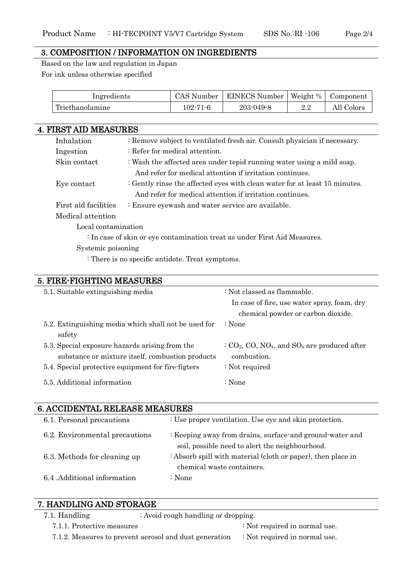#### 3. COMPOSITION / INFORMATION ON INGREDIENTS

Based on the law and regulation in Japan For ink unless otherwise specified

| Ingredients     | CAS Number | <b>EINECS Number</b> |           | Weight %   Component |
|-----------------|------------|----------------------|-----------|----------------------|
| Triethanolamine | 102-71-6   | $203 - 049 - 8$      | 99<br>4.4 | All Colors           |

| <b>4. FIRST AID MEASURES</b>                                              |                                                                            |  |  |
|---------------------------------------------------------------------------|----------------------------------------------------------------------------|--|--|
| Inhalation                                                                | : Remove subject to ventilated fresh air. Consult physician if necessary.  |  |  |
| Ingestion                                                                 | : Refer for medical attention.                                             |  |  |
| Skin contact                                                              | : Wash the affected area under tepid running water using a mild soap.      |  |  |
|                                                                           | And refer for medical attention if irritation continues.                   |  |  |
| Eye contact                                                               | : Gently rinse the affected eyes with clean water for at least 15 minutes. |  |  |
|                                                                           | And refer for medical attention if irritation continues.                   |  |  |
| First aid facilities                                                      | : Ensure eyewash and water service are available.                          |  |  |
| Medical attention                                                         |                                                                            |  |  |
| Local contamination                                                       |                                                                            |  |  |
| : In case of skin or eye contamination treat as under First Aid Measures. |                                                                            |  |  |
| Systemic poisoning                                                        |                                                                            |  |  |

: There is no specific antidote. Treat symptoms.

| 5. FIRE-FIGHTING MEASURES                            |                                                                                      |  |  |
|------------------------------------------------------|--------------------------------------------------------------------------------------|--|--|
| 5.1. Suitable extinguishing media                    | : Not classed as flammable.                                                          |  |  |
|                                                      | In case of fire, use water spray, foam, dry                                          |  |  |
|                                                      | chemical powder or carbon dioxide.                                                   |  |  |
| 5.2. Extinguishing media which shall not be used for | $\therefore$ None                                                                    |  |  |
| safety                                               |                                                                                      |  |  |
| 5.3. Special exposure hazards arising from the       | $C_2$ CO <sub>2</sub> , CO, NO <sub>x</sub> , and SO <sub>x</sub> are produced after |  |  |
| substance or mixture itself, combustion products     | combustion.                                                                          |  |  |
| 5.4. Special protective equipment for fire-figters   | : Not required                                                                       |  |  |
| 5.5. Additional information                          | : None                                                                               |  |  |
|                                                      |                                                                                      |  |  |

# 6. ACCIDENTAL RELEASE MEASURES

| 6.1. Personal precautions      | : Use proper ventilation. Use eye and skin protection.                                                      |
|--------------------------------|-------------------------------------------------------------------------------------------------------------|
| 6.2. Environmental precautions | : Keeping away from drains, surface-and ground-water and<br>soil, possible need to alert the neighbourhood. |
| 6.3. Methods for cleaning up   | : Absorb spill with material (cloth or paper), then place in<br>chemical waste containers.                  |
| 6.4 .Additional information    | : None                                                                                                      |

## 7. HANDLING AND STORAGE

7.1. Handling : Avoid rough handling or dropping.

7.1.1. Protective measures : Not required in normal use. 7.1.2. Measures to prevent aerosol and dust generation : Not required in normal use.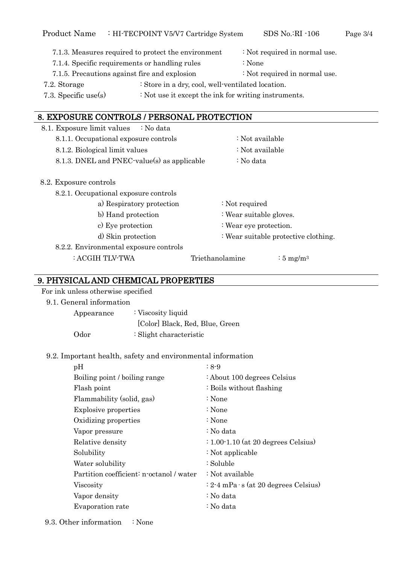- 7.1.3. Measures required to protect the environment : Not required in normal use. 7.1.4. Specific requirements or handling rules : None
- 
- 7.1.5. Precautions against fire and explosion : Not required in normal use.
- 7.2. Storage : Store in a dry, cool, well-ventilated location.
- 7.3. Specific use(s) : Not use it except the ink for writing instruments.

### 8. EXPOSURE CONTROLS / PERSONAL PROTECTION

8.1. Exposure limit values : No data 8.1.1. Occupational exposure controls : Not available 8.1.2. Biological limit values : Not available 8.1.3. DNEL and PNEC-value(s) as applicable  $\therefore$  No data 8.2. Exposure controls 8.2.1. Occupational exposure controls a) Respiratory protection : Not required b) Hand protection : Wear suitable gloves. c) Eye protection : Wear eye protection. d) Skin protection : Wear suitable protective clothing. 8.2.2. Environmental exposure controls  $: ACGIH TLV-TWA$  Triethanolamine  $: 5 \text{ mg/m}^3$ 

# 9. PHYSICAL AND CHEMICAL PROPERTIES

For ink unless otherwise specified

9.1. General information

Appearance : Viscosity liquid [Color] Black, Red, Blue, Green Odor : Slight characteristic

#### 9.2. Important health, safety and environmental information

| pH                                       | $: 8-9$                                         |
|------------------------------------------|-------------------------------------------------|
| Boiling point / boiling range            | : About 100 degrees Celsius                     |
| Flash point                              | : Boils without flashing                        |
| Flammability (solid, gas)                | : None                                          |
| <b>Explosive properties</b>              | : None                                          |
| Oxidizing properties                     | : None                                          |
| Vapor pressure                           | : No data                                       |
| Relative density                         | $\div 1.00 \cdot 1.10$ (at 20 degrees Celsius)  |
| Solubility                               | : Not applicable                                |
| Water solubility                         | : Soluble                                       |
| Partition coefficient: n-octanol / water | : Not available                                 |
| Viscosity                                | $: 2 - 4$ mPa $\cdot$ s (at 20 degrees Celsius) |
| Vapor density                            | : No data                                       |
| Evaporation rate                         | : No data                                       |